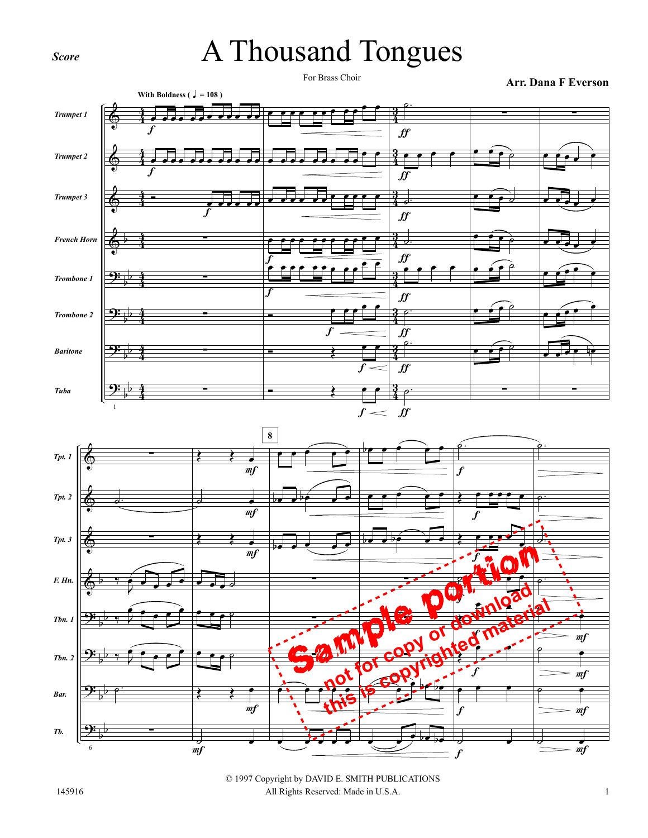## *Score* A Thousand Tongues

## For Brass Choir **Arr. Dana F Everson**



145916 1 All Rights Reserved: Made in U.S.A. © 1997 Copyright by DAVID E. SMITH PUBLICATIONS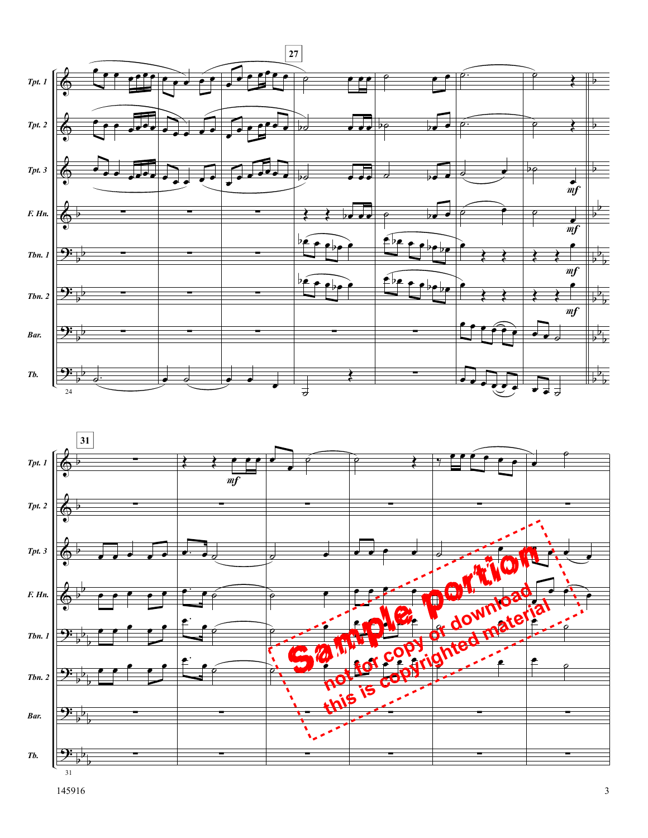



 $145916$  3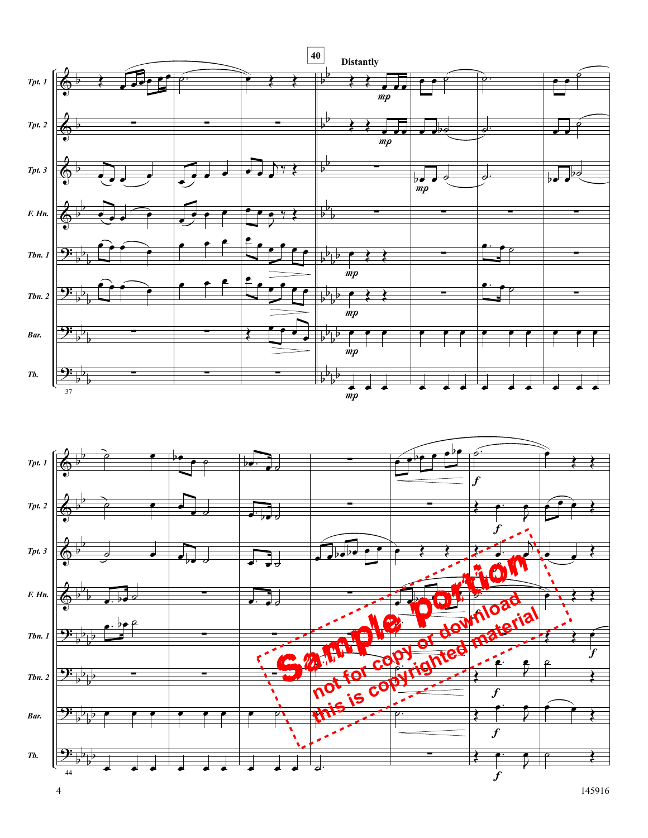